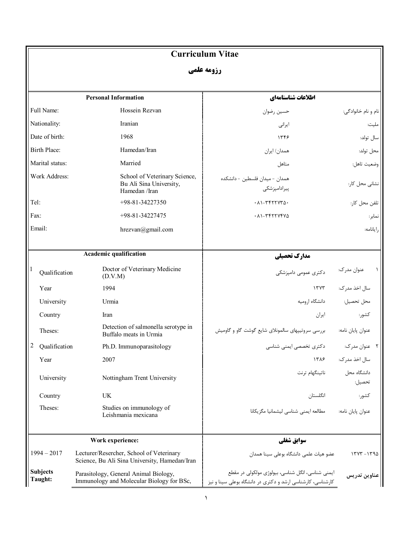## **Curriculum Vitae**

**رزومه علمی** 

|                            | <b>Personal Information</b>                                                               | اطلاعات شناسنامهاي                                                                                              |                       |  |
|----------------------------|-------------------------------------------------------------------------------------------|-----------------------------------------------------------------------------------------------------------------|-----------------------|--|
| Full Name:                 | Hossein Rezvan                                                                            | حسين رضوان                                                                                                      | نام و نام خانوادگی:   |  |
| Nationality:               | Iranian                                                                                   | ايرانى                                                                                                          | مليت:                 |  |
| Date of birth:             | 1968                                                                                      | 1559                                                                                                            | سال تولد:             |  |
| Birth Place:               | Hamedan/Iran                                                                              | همدان/ ایران                                                                                                    | محل تولد:             |  |
| Marital status:            | Married                                                                                   | متاهل                                                                                                           | وضعيت تاهل:           |  |
| Work Address:              | School of Veterinary Science,<br>Bu Ali Sina University,<br>Hamedan /Iran                 | همدان - میدان فلسطین - دانشکده<br>پیرادامپزشکی                                                                  | نشانی محل کار:        |  |
| Tel:                       | +98-81-34227350                                                                           | $.41 - T777770$                                                                                                 | تلفن محل كار:         |  |
| Fax:                       | +98-81-34227475                                                                           | ۰۸۱-۳۴۲۲۷۴۷۵                                                                                                    | نمابر:                |  |
| Email:                     | hrezvan@gmail.com                                                                         |                                                                                                                 | رايانامه:             |  |
|                            |                                                                                           |                                                                                                                 |                       |  |
| Academic qualification     |                                                                                           | مدارك تحصيلي                                                                                                    |                       |  |
| -1<br>Qualification        | Doctor of Veterinary Medicine<br>(D.V.M)                                                  | دکتری عمومی دامیزشکے                                                                                            | ۱ عنوان مدرک:         |  |
| Year                       | 1994                                                                                      | 1507                                                                                                            | سال اخذ مدرک:         |  |
| University                 | Urmia                                                                                     | دانشگاه ارومیه                                                                                                  | محل تحصيل:            |  |
| Country                    | Iran                                                                                      | ايران                                                                                                           | كشور:                 |  |
| Theses:                    | Detection of salmonella serotype in<br>Buffalo meats in Urmia                             | بررسی سروتیپهای سالمونلای شایع گوشت گاو و گاومیش                                                                | عنوان پايان نامه:     |  |
| 2<br>Qualification         | Ph.D. Immunoparasitology                                                                  | دکتری تخصصی ایمنی شناسی                                                                                         | ۲۔ عنوان مدرک:        |  |
| Year                       | 2007                                                                                      |                                                                                                                 | سال اخذ مدرک: ۱۳۸۶    |  |
| University                 | Nottingham Trent University                                                               | ناتينگهام ترنت                                                                                                  | دانشگاه محل<br>تحصيل: |  |
| Country                    | UK                                                                                        | انگلستان                                                                                                        | كشور:                 |  |
| Theses:                    | Studies on immunology of<br>Leishmania mexicana                                           | مطالعه ايمنى شناسى ليشمانيا مكزيكانا                                                                            | عنوان پايان نامه:     |  |
| Work experience:           |                                                                                           | سوابق شغلي                                                                                                      |                       |  |
| $1994 - 2017$              | Lecturer/Resercher, School of Veterinary<br>Science, Bu Ali Sina University, Hamedan/Iran | عضو هيات علمى دانشگاه بوعلى سينا همدان                                                                          | $17YT - 1790$         |  |
| <b>Subjects</b><br>Taught: | Parasitology, General Animal Biology,<br>Immunology and Molecular Biology for BSc,        | ایمنی شناسی، انگل شناسی، بیولوژی مولکولی در مقطع<br>کارشناسی، کارشناسی ارشد و دکتری در دانشگاه بوعلی سینا و نیز | عناوين تدريس          |  |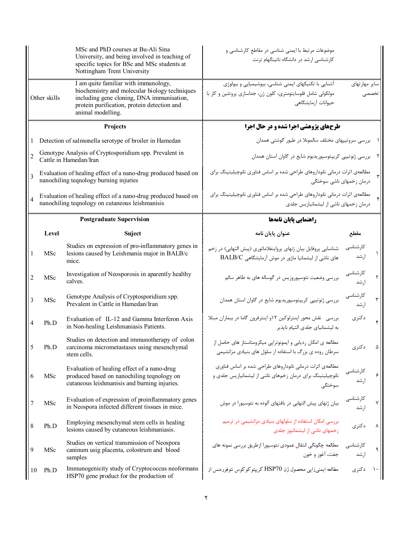|                                                                                                    |                                                                                                                  | MSc and PhD courses at Bu-Ali Sina<br>University, and being involved in teaching of<br>specific topics for BSc and MSc students at<br>Nottingham Trent University                                      | موضوعات مرتبط با ایمنی شناسی در مقاطع کارشناسی و<br>کارشناسی ارشد در دانشگاه ناتینگهام ترنت                                                |                   |                         |
|----------------------------------------------------------------------------------------------------|------------------------------------------------------------------------------------------------------------------|--------------------------------------------------------------------------------------------------------------------------------------------------------------------------------------------------------|--------------------------------------------------------------------------------------------------------------------------------------------|-------------------|-------------------------|
| Other skills                                                                                       |                                                                                                                  | I am quite familiar with immunology,<br>biochemistry and molecular biology techniques<br>including gene cloning, DNA immunisation,<br>protein purification, protein detection and<br>animal modelling. | آشنایی با تکنیکهای ایمنی شناسی، بیوشیمیایی و بیولوژی<br>مولکولی شامل فلوسایتومتری، کلون ژن، جداسازی پروتئین و کار با<br>حیوانات آزمایشگاهی | سایر مهارتهای     | تخصصه                   |
| Projects                                                                                           |                                                                                                                  |                                                                                                                                                                                                        | طرحهای پژوهشی اجرا شده و در حال اجرا                                                                                                       |                   |                         |
| Detection of salmonella serotype of broiler in Hamedan                                             |                                                                                                                  |                                                                                                                                                                                                        | ۱ بررسی سروتیپهای مختلف سالمونلا در طیور گوشتی همدان                                                                                       |                   |                         |
| Genotype Analysis of Cryptosporidium spp. Prevalent in<br>$\overline{2}$<br>Cattle in Hamedan/Iran |                                                                                                                  |                                                                                                                                                                                                        | ۲٪ بررسی ژنوتیپی کریپتوسپوریدیوم شایع در گاوان استان همدان                                                                                 |                   |                         |
| $\overline{3}$                                                                                     | Evaluation of healing effect of a nano-drug produced based on<br>nanochiling teqnology burning injuries          |                                                                                                                                                                                                        | مطالعهی اثرات درمانی نانوداروهای طراحی شده بر اساس فناوری نانوچیلیتینگ برای<br>درمان زخمهای ناشی سوختگی                                    |                   |                         |
| $\overline{4}$                                                                                     | Evaluation of healing effect of a nano-drug produced based on<br>nanochiling teqnology on cutaneous leishmanisis |                                                                                                                                                                                                        | مطالعهی اثرات درمانی نانوداروهای طراحی شده بر اساس فناوری نانوچیلیتینگ برای<br>درمان زخمهای ناشی از لیشمانیازیس جلدی                       |                   |                         |
|                                                                                                    | <b>Postgraduate Supervision</b>                                                                                  |                                                                                                                                                                                                        | راهنمایی پایان نامهها                                                                                                                      |                   |                         |
|                                                                                                    | Level                                                                                                            | <b>Suject</b>                                                                                                                                                                                          | عنوان پايان نامه                                                                                                                           | مقطع              |                         |
|                                                                                                    | MSc                                                                                                              | Studies on expression of pro-inflammatory genes in<br>lesions caused by Leishmania major in BALB/c<br>mice.                                                                                            | شناسایی پروفایل بیان ژنهای پرواینفلاماتوری (پیش التهابی) در زخم<br>های ناشی از لیشمانیا ماژور در موش آزمایشگاهی BALB/C                     | كارشناسى<br>ار شد | $\mathcal{L}$           |
| $\overline{2}$                                                                                     | MSc                                                                                                              | Investigation of Neosporosis in aparently healthy<br>calves.                                                                                                                                           | بررسی وضعیت نئوسپوروزیس در گوساله های به ظاهر سالم                                                                                         | كارشناسى<br>ار شد | ٢                       |
| 3                                                                                                  | MSc                                                                                                              | Genotype Analysis of Cryptosporidium spp.<br>Prevalent in Cattle in Hamedan/Iran                                                                                                                       | بررسی ژنوتیپی کریپتوسپوریدیوم شایع در گاوان استان همدان                                                                                    | كارشناسى<br>ارشد  | $\overline{\mathbf{r}}$ |
| $\overline{4}$                                                                                     | Ph.D                                                                                                             | Evaluation of IL-12 and Gamma Interferon Axis<br>in Non-healing Leishmaniasis Patients.                                                                                                                | بررسی نقش محور اینترلوکین ۱۲و اینترفرون گاما در بیماران مبتلا<br>به لیشمانیای جلدی التیام نایذیر                                           | دكترى             | ۴                       |
|                                                                                                    | Ph.D                                                                                                             | Studies on detection and immunotherapy of colon<br>carcinoma micrometastases using mesenchymal<br>stem cells.                                                                                          | مطالعه ی امکان ردیابی و ایمونوتراپی میکرومتاستاز های حاصل از<br>سرطان روده ی بزرگ با استفاده از سلول های بنیادی مزانشیمی                   | دكترى             |                         |
| 6                                                                                                  | MSc                                                                                                              | Evaluation of healing effect of a nano-drug<br>produced based on nanochiling teqnology on<br>cutaneous leishmanisis and burning injuries.                                                              | مطالعهی اثرات درمانی نانوداروهای طراحی شده بر اساس فناوری<br>نانوچیلیتینگ برای درمان زخمهای ناشی از لیشمانیازیس جلدی و<br>سوختگے           | كارشناسى<br>ارشد  | ۶                       |
| 7                                                                                                  | MSc                                                                                                              | Evaluation of expression of proinflammatory genes<br>in Neospora infected different tissues in mice.                                                                                                   | بیان ژنهای پیش التهابی در بافتهای آلوده به نئوسپورا در موش                                                                                 | كارشناسى<br>ار شد | Y                       |
| 8                                                                                                  | Ph.D                                                                                                             | Employing mesenchymal stem cells in healing<br>lesions caused by cutaneous leishmaniasis.                                                                                                              | بررسی امکان استفاده از سلولهای بنیادی مزانشیمی در ترمیم<br>زخمهای ناشی از لیشمانیوز جلدی                                                   | دكترى             | ٨                       |
| 9                                                                                                  | MSc                                                                                                              | Studies on vertical transmission of Neospora<br>caninum usig placenta, colostrum and blood<br>samples                                                                                                  | مطالعه چگونگی انتقال عمودی نئوسپورا ازطریق بررسی نمونه های<br>جفت، آغوز و خون                                                              | کارشناسی<br>ار شد | ٩                       |
| 10                                                                                                 | Ph.D                                                                                                             | Immunogenicity study of Cryptococcus neoformans<br>HSP70 gene product for the production of                                                                                                            | مطالعه ايمنىزايي محصول ژن HSP70 كريپتوكوكوس نئوفورمنس از                                                                                   | دکتری             | $\lambda$               |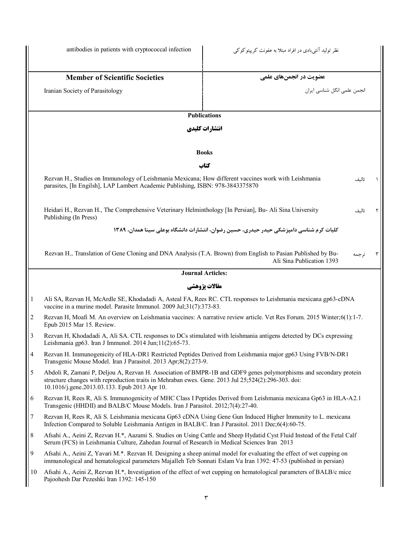نظر تولید آنتی بادی در افراد مبتلا به عفونت کریپتوکوکی infection cryptococcal infection cryptococcal infection عضویت در انجمنهای علمی**است کوچوت در انجمنهای علمی** است. Member of Scientific Societies انجمن علمی انگل شناسی ایران Parasitology of Society Iranian **Publications انتشارات کلیدي Books کتاب** Rezvan H., Studies on Immunology of Leishmania Mexicana; How different vaccines work with Leishmania parasites, [In Engilsh], LAP Lambert Academic Publishing, ISBN: 978-3843375870 1 تالیف Heidari H., Rezvan H., The Comprehensive Veterinary Helminthology [In Persian], Bu- Ali Sina University Publishing (In Press) **کلیات کرم شناسی دامپزشکی حیدر حیدري، حسین رضوان، انتشارات دانشگاه بوعلی سینا همدان، 1389**  2 تالیف Rezvan H., Translation of Gene Cloning and DNA Analysis (T.A. Brown) from English to Pasian Published by Bu- Ali Sina Publication 1393 3 ترجمه **Journal Articles: مقالات پژوهشی** 1 Ali SA, Rezvan H, McArdle SE, Khodadadi A, Asteal FA, Rees RC. CTL responses to Leishmania mexicana gp63-cDNA vaccine in a murine model. Parasite Immunol. 2009 Jul;31(7):373-83. 2 Rezvan H, Moafi M. An overview on Leishmania vaccines: A narrative review article. Vet Res Forum. 2015 Winter;6(1):1-7. Epub 2015 Mar 15. Review. 3 Rezvan H, Khodadadi A, Ali SA. CTL responses to DCs stimulated with leishmania antigens detected by DCs expressing Leishmania gp63. Iran J Immunol. 2014 Jun;11(2):65-73. 4 Rezvan H. Immunogenicity of HLA-DR1 Restricted Peptides Derived from Leishmania major gp63 Using FVB/N-DR1 Transgenic Mouse Model. Iran J Parasitol. 2013 Apr;8(2):273-9. 5 Abdoli R, Zamani P, Deljou A, Rezvan H. Association of BMPR-1B and GDF9 genes polymorphisms and secondary protein structure changes with reproduction traits in Mehraban ewes. Gene. 2013 Jul 25;524(2):296-303. doi: 10.1016/j.gene.2013.03.133. Epub 2013 Apr 10. 6 Rezvan H, Rees R, Ali S. Immunogenicity of MHC Class I Peptides Derived from Leishmania mexicana Gp63 in HLA-A2.1 Transgenic (HHDII) and BALB/C Mouse Models. Iran J Parasitol. 2012;7(4):27-40. 7 Rezvan H, Rees R, Ali S. Leishmania mexicana Gp63 cDNA Using Gene Gun Induced Higher Immunity to L. mexicana Infection Compared to Soluble Leishmania Antigen in BALB/C. Iran J Parasitol. 2011 Dec;6(4):60-75. 8 Afsahi A., Aeini Z, Rezvan H.\*, Aazami S. Studies on Using Cattle and Sheep Hydatid Cyst Fluid Instead of the Fetal Calf Serum (FCS) in Leishmania Culture, Zahedan Journal of Research in Medical Sciences Iran 2013 9 Afsahi A., Aeini Z, Yavari M.\*. Rezvan H. Designing a sheep animal model for evaluating the effect of wet cupping on immunological and hematological parameters Majalleh Teb Sonnati Eslam Va Iran 1392: 47-53 (published in persian) 10 Afsahi A., Aeini Z, Rezvan H.\*, Investigation of the effect of wet cupping on hematological parameters of BALB/c mice Pajoohesh Dar Pezeshki Iran 1392: 145-150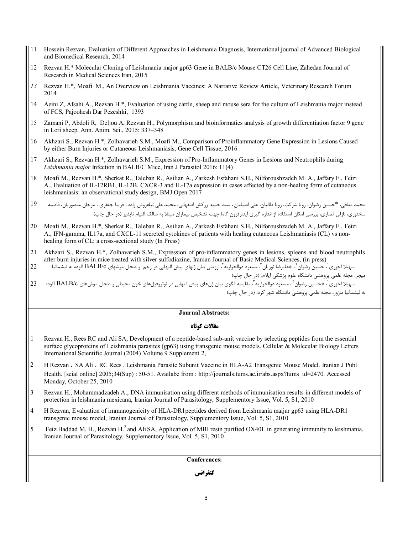- 11 Hossein Rezvan, Evaluation of Different Approaches in Leishmania Diagnosis, International journal of Advanced Biological and Biomedical Research, 2014
- 12 Rezvan H.\* Molecular Cloning of Leishmania major gp63 Gene in BALB/c Mouse CT26 Cell Line, Zahedan Journal of Research in Medical Sciences Iran, 2015
- *13* Rezvan H.\*, Moafi M., An Overview on Leishmania Vaccines: A Narrative Review Article, Veterinary Research Forum 2014
- 14 Aeini Z, Afsahi A., Rezvan H.\*, Evaluation of using cattle, sheep and mouse sera for the culture of Leishmania major instead of FCS, Pajoohesh Dar Pezeshki, 1393
- 15 Zamani P, Abdoli R, Deljou A, Rezvan H., Polymorphism and bioinformatics analysis of growth differentiation factor 9 gene in Lori sheep, Ann. Anim. Sci., 2015: 337–348
- 16 Akhzari S., Rezvan H.\*, Zolhavarieh S.M., Moafi M., Comparison of Proinflammatory Gene Expression in Lesions Caused by either Burn Injuries or Cutaneous Leishmaniasis, Gene Cell Tissue, 2016
- 17 Akhzari S., Rezvan H.\*, Zolhavarieh S.M., Expression of Pro-Inflammatory Genes in Lesions and Neutrophils during *Leishmania major* Infection in BALB/C Mice, Iran J Parasitol 2016: 11(4)
- 18 Moafi M., Rezvan H.\*, Sherkat R., Taleban R., Asilian A., Zarkesh Esfahani S.H., Nilforoushzadeh M. A., Jaffary F., Feizi A., Evaluation of IL-12RB1, IL-12B, CXCR-3 and IL-17a expression in cases affected by a non-healing form of cutaneous leishmaniasis: an observational study design, BMJ Open 2017
- محمد معافی، \*حسین رضوان، رویا شرکت، رویا طالبان، علی اصیلیان ، سید حمید زرکش اصفهانی، محمد علی نیلفروش زاده ، فریبا جعفري ، مرجان منصوریان، فاطمه 19 سخنوري، نازلی انصاري، بررسی امکان استفاده از اندازه گیري اینترفرون گاما جهت تشخیص بیماران مبتلا به سالک التیام ناپذیر (در حال چاپ)
- 20 Moafi M., Rezvan H.\*, Sherkat R., Taleban R., Asilian A., Zarkesh Esfahani S.H., Nilforoushzadeh M. A., Jaffary F., Feizi A., IFN-gamma, IL17a, and CXCL-11 secreted cytokines of patients with healing cutaneous Leishmaniasis (CL) vs nonhealing form of CL: a cross-sectional study (In Press)
- 21 Akhzari S., Rezvan H.\*, Zolhavarieh S.M., Expression of pro-inflammatory genes in lesions, spleens and blood neutrophils after burn injuries in mice treated with silver sulfodiazine, Iranian Journal of Basic Medical Sciences, (in press)
- سهيلا اخزري<sup>י</sup>، حسين رضوان ّ، ۞عليرضا نوريان ّ، مسعود ذوالحواريه ً، ارزيابي بيان ژنهاي پيش التهابي در زخم و طحال موشهاي BALB/c آلوده به ليشمانيا 22 میجر، مجله علمی پزوهشی دانشگاه علوم پزشکی ایلام، (در حال چاپ)
- سهيلا اخزري<sup>י</sup>، ٭حسين رضوان<sup>۲</sup>، مسعود ذوالحواريه <sup>۳</sup>، مقايسه الگوي بيان ژنهاي پيش التهابي در نوتروفيلهاي خون محيطي و طحال موشهاي BALB/c آلوده د 23 به لیشمانیا ماژور، مجله علمی پزوهشی دانشگاه شهر کرد، (در حال چاپ)

## **Journal Abstracts:**

## **مقالات کوتاه**

- 1 Rezvan H., Rees RC and Ali SA, Development of a peptide-based sub-unit vaccine by selecting peptides from the essential surface glycoproteins of Leishmania parasites (gp63) using transgenic mouse models. Cellular & Molecular Biology Letters International Scientific Journal (2004) Volume 9 Supplement 2,
- 2 H Rezvan ، SA Ali ، RC Rees . Leishmania Parasite Subunit Vaccine in HLA-A2 Transgenic Mouse Model. Iranian J Publ Health. [seial online] 2005;34(Sup) : 50-51. Availabe from : http://journals.tums.ac.ir/abs.aspx?tums\_id=2470. Accessed Monday, October 25, 2010
- 3 Rezvan H., Mohammadzadeh A., DNA immunisation using different methods of immunisation results in different models of protection in leishmania mexicana, Iranian Journal of Parasitology, Supplementory Issue, Vol. 5, S1, 2010
- 4 H Rezvan, Evaluation of immunogenicity of HLA-DR1peptides derived from Leishmania maijar gp63 using HLA-DR1 transgenic mouse model, Iranian Journal of Parasitology, Supplementory Issue, Vol. 5, S1, 2010
- 5 Feiz Haddad M. H., Rezvan H.<sup>2</sup> and Ali SA, Application of MBI resin purified OX40L in generating immunity to leishmania, Iranian Journal of Parasitology, Supplementory Issue, Vol. 5, S1, 2010

**Conferences:**

**کنفرانس**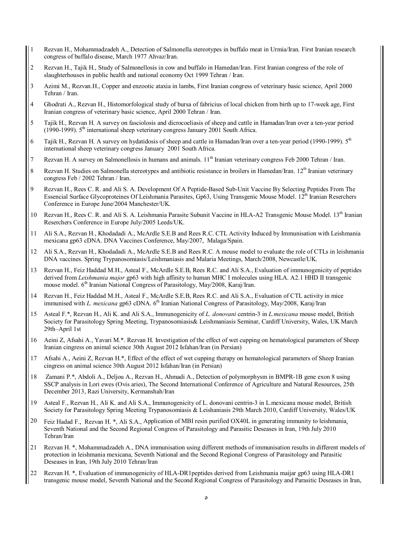- 1 Rezvan H., Mohammadzadeh A., Detection of Salmonella stereotypes in buffalo meat in Urmia/Iran. First Iranian research congress of buffalo disease, March 1977 Ahvaz/Iran.
- 2 Rezvan H., Tajik H., Study of Salmonellosis in cow and buffalo in Hamedan/Iran. First Iranian congress of the role of slaughterhouses in public health and national economy Oct 1999 Tehran / Iran.
- 3 Azimi M., Rezvan.H., Copper and enzootic ataxia in lambs, First Iranian congress of veterinary basic science, April 2000 Tehran / Iran.
- 4 Ghodrati A., Rezvan H., Histomorfological study of bursa of fabricius of local chicken from birth up to 17-week age, First Iranian congress of veterinary basic science, April 2000 Tehran / Iran.
- 5 Tajik H., Rezvan H. A survey on fasciolosis and dicrocoeliasis of sheep and cattle in Hamadan/Iran over a ten-year period (1990-1999).  $5<sup>th</sup>$  international sheep veterinary congress January 2001 South Africa.
- 6 Tajik H., Rezvan H. A survey on hydatidosis of sheep and cattle in Hamadan/Iran over a ten-year period (1990-1999).  $5<sup>th</sup>$ international sheep veterinary congress January 2001 South Africa.
- 7 Rezvan H. A survey on Salmonellosis in humans and animals. 11<sup>th</sup> Iranian veterinary congress Feb 2000 Tehran / Iran.
- 8 Rezvan H. Studies on Salmonella stereotypes and antibiotic resistance in broilers in Hamedan/Iran.  $12<sup>th</sup>$  Iranian veterinary congress Feb / 2002 Tehran / Iran.
- 9 Rezvan H., Rees C. R. and Ali S. A. Development Of A Peptide-Based Sub-Unit Vaccine By Selecting Peptides From The Essencial Surface Glycoproteines Of Leishmania Parasites, Gp63, Using Transgenic Mouse Model. 12<sup>th</sup> Iranian Reserchers Conference in Europe June/2004 Manchester/UK.
- 10 Rezvan H., Rees C. R. and Ali S. A. Leishmania Parasite Subunit Vaccine in HLA-A2 Transgenic Mouse Model. 13<sup>th</sup> Iranian Reserchers Conference in Europe July/2005 Leeds/UK.
- 11 Ali S.A., Rezvan H., Khodadadi A., McArdle S.E.B and Rees R.C. CTL Activity Induced by Immunisation with Leishmania mexicana gp63 cDNA. DNA Vaccines Conference, May/2007, Malaga/Spain.
- 12 Ali S.A., Rezvan H., Khodadadi A., McArdle S.E.B and Rees R.C. A mouse model to evaluate the role of CTLs in leishmania DNA vaccines. Spring Trypanosomiasis/Leishmaniasis and Malaria Meetings, March/2008, Newcastle/UK.
- 13 Rezvan H., Feiz Haddad M.H., Asteal F., McArdle S.E.B, Rees R.C. and Ali S.A., Evaluation of immunogenicity of peptides derived from *Leishmania major* gp63 with high affinity to human MHC I molecules using HLA. A2.1 HHD II transgenic mouse model.  $6<sup>th</sup>$  Iranian National Congress of Parasitology, May/2008, Karaj/Iran.
- 14 Rezvan H., Feiz Haddad M.H., Asteal F., McArdle S.E.B, Rees R.C. and Ali S.A., Evaluation of CTL activity in mice immunised with *L. mexicana* gp63 cDNA. 6<sup>th</sup> Iranian National Congress of Parasitology, May/2008, Karaj/Iran
- 15 Asteal F.\*, Rezvan H., Ali K. and Ali S.A., Immunogenicity of *L. donovani* centrin-3 in *L.mexicana* mouse model, British Society for Parasitology Spring Meeting, Trypanosomiasis& Leishmaniasis Seminar, Cardiff University, Wales, UK March 29th–April 1st
- 16 Aeini Z, Afsahi A., Yavari M.\*. Rezvan H. Investigation of the effect of wet cupping on hematological parameters of Sheep Iranian cingress on animal science 30th August 2012 Isfahan/Iran (in Persian)
- 17 Afsahi A., Aeini Z, Rezvan H.\*, Effect of the effect of wet cupping therapy on hematological parameters of Sheep Iranian cingress on animal science 30th August 2012 Isfahan/Iran (in Persian)
- 18 Zamani P.\*, Abdoli A., Deljou A., Rezvan H., Ahmadi A., Detection of polymorphysm in BMPR-1B gene exon 8 using SSCP analysis in Lori ewes (Ovis aries), The Second International Conference of Agriculture and Natural Resources, 25th December 2013, Razi University, Kermanshah/Iran
- 19 Asteal F., Rezvan H., Ali K. and Ali S.A., Immunogenicity of L. donovani centrin-3 in L.mexicana mouse model, British Society for Parasitology Spring Meeting Trypanosomiasis & Leishaniasis 29th March 2010, Cardiff University, Wales/UK
- 20 Feiz Hadad F., Rezvan H. \*, Ali S.A., Application of MBI resin purified OX40L in generating immunity to leishmania, Seventh National and the Second Regional Congress of Parasitology and Parasitic Deseases in Iran, 19th July 2010 Tehran/Iran
- 21 Rezvan H. \*, Mohammadzadeh A., DNA immunisation using different methods of immunisation results in different models of protection in leishmania mexicana, Seventh National and the Second Regional Congress of Parasitology and Parasitic Deseases in Iran, 19th July 2010 Tehran/Iran
- 22 Rezvan H. \*, Evaluation of immunogenicity of HLA-DR1peptides derived from Leishmania maijar gp63 using HLA-DR1 transgenic mouse model, Seventh National and the Second Regional Congress of Parasitology and Parasitic Deseases in Iran,